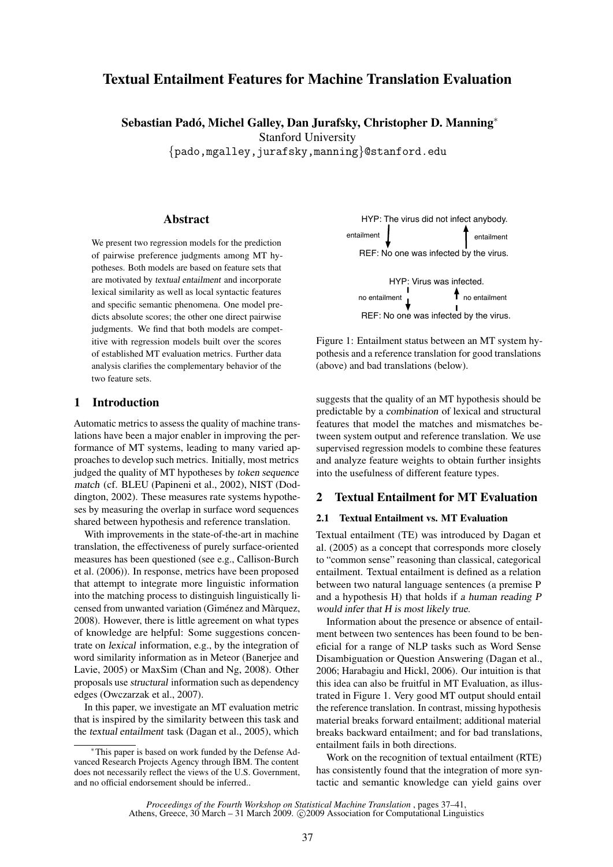# Textual Entailment Features for Machine Translation Evaluation

Sebastian Padó, Michel Galley, Dan Jurafsky, Christopher D. Manning<sup>\*</sup>

Stanford University

{pado,mgalley,jurafsky,manning}@stanford.edu

## Abstract

We present two regression models for the prediction of pairwise preference judgments among MT hypotheses. Both models are based on feature sets that are motivated by textual entailment and incorporate lexical similarity as well as local syntactic features and specific semantic phenomena. One model predicts absolute scores; the other one direct pairwise judgments. We find that both models are competitive with regression models built over the scores of established MT evaluation metrics. Further data analysis clarifies the complementary behavior of the two feature sets.

# 1 Introduction

Automatic metrics to assess the quality of machine translations have been a major enabler in improving the performance of MT systems, leading to many varied approaches to develop such metrics. Initially, most metrics judged the quality of MT hypotheses by token sequence match (cf. BLEU (Papineni et al., 2002), NIST (Doddington, 2002). These measures rate systems hypotheses by measuring the overlap in surface word sequences shared between hypothesis and reference translation.

With improvements in the state-of-the-art in machine translation, the effectiveness of purely surface-oriented measures has been questioned (see e.g., Callison-Burch et al. (2006)). In response, metrics have been proposed that attempt to integrate more linguistic information into the matching process to distinguish linguistically licensed from unwanted variation (Giménez and Màrquez, 2008). However, there is little agreement on what types of knowledge are helpful: Some suggestions concentrate on lexical information, e.g., by the integration of word similarity information as in Meteor (Banerjee and Lavie, 2005) or MaxSim (Chan and Ng, 2008). Other proposals use structural information such as dependency edges (Owczarzak et al., 2007).

In this paper, we investigate an MT evaluation metric that is inspired by the similarity between this task and the textual entailment task (Dagan et al., 2005), which



Figure 1: Entailment status between an MT system hypothesis and a reference translation for good translations (above) and bad translations (below).

suggests that the quality of an MT hypothesis should be predictable by a combination of lexical and structural features that model the matches and mismatches between system output and reference translation. We use supervised regression models to combine these features and analyze feature weights to obtain further insights into the usefulness of different feature types.

#### 2 Textual Entailment for MT Evaluation

#### 2.1 Textual Entailment vs. MT Evaluation

Textual entailment (TE) was introduced by Dagan et al. (2005) as a concept that corresponds more closely to "common sense" reasoning than classical, categorical entailment. Textual entailment is defined as a relation between two natural language sentences (a premise P and a hypothesis H) that holds if a human reading P would infer that H is most likely true.

Information about the presence or absence of entailment between two sentences has been found to be beneficial for a range of NLP tasks such as Word Sense Disambiguation or Question Answering (Dagan et al., 2006; Harabagiu and Hickl, 2006). Our intuition is that this idea can also be fruitful in MT Evaluation, as illustrated in Figure 1. Very good MT output should entail the reference translation. In contrast, missing hypothesis material breaks forward entailment; additional material breaks backward entailment; and for bad translations, entailment fails in both directions.

Work on the recognition of textual entailment (RTE) has consistently found that the integration of more syntactic and semantic knowledge can yield gains over

*Proceedings of the Fourth Workshop on Statistical Machine Translation* , pages 37–41, Athens, Greece, 30 March – 31 March 2009. © 2009 Association for Computational Linguistics

<sup>∗</sup>This paper is based on work funded by the Defense Advanced Research Projects Agency through IBM. The content does not necessarily reflect the views of the U.S. Government, and no official endorsement should be inferred..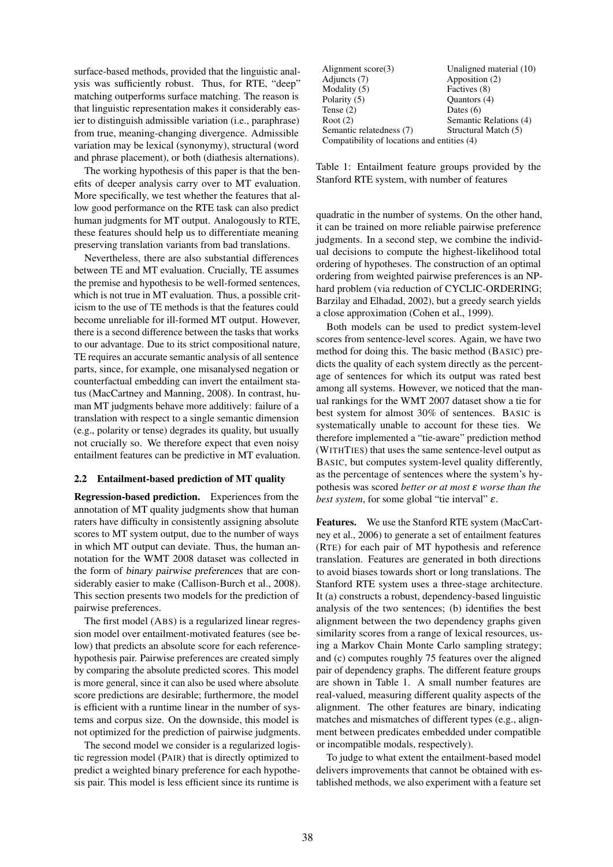surface-based methods, provided that the linguistic analysis was sufficiently robust. Thus, for RTE, "deep" matching outperforms surface matching. The reason is that linguistic representation makes it considerably easier to distinguish admissible variation (i.e., paraphrase) from true, meaning-changing divergence. Admissible variation may be lexical (synonymy), structural (word and phrase placement), or both (diathesis alternations).

The working hypothesis of this paper is that the benefits of deeper analysis carry over to MT evaluation. More specifically, we test whether the features that allow good performance on the RTE task can also predict human judgments for MT output. Analogously to RTE, these features should help us to differentiate meaning preserving translation variants from bad translations.

Nevertheless, there are also substantial differences between TE and MT evaluation. Crucially, TE assumes the premise and hypothesis to be well-formed sentences, which is not true in MT evaluation. Thus, a possible criticism to the use of TE methods is that the features could become unreliable for ill-formed MT output. However, there is a second difference between the tasks that works to our advantage. Due to its strict compositional nature, TE requires an accurate semantic analysis of all sentence parts, since, for example, one misanalysed negation or counterfactual embedding can invert the entailment status (MacCartney and Manning, 2008). In contrast, human MT judgments behave more additively: failure of a translation with respect to a single semantic dimension (e.g., polarity or tense) degrades its quality, but usually not crucially so. We therefore expect that even noisy entailment features can be predictive in MT evaluation.

#### 2.2 Entailment-based prediction of MT quality

Regression-based prediction. Experiences from the annotation of MT quality judgments show that human raters have difficulty in consistently assigning absolute scores to MT system output, due to the number of ways in which MT output can deviate. Thus, the human annotation for the WMT 2008 dataset was collected in the form of binary pairwise preferences that are considerably easier to make (Callison-Burch et al., 2008). This section presents two models for the prediction of pairwise preferences.

The first model (ABS) is a regularized linear regression model over entailment-motivated features (see below) that predicts an absolute score for each referencehypothesis pair. Pairwise preferences are created simply by comparing the absolute predicted scores. This model is more general, since it can also be used where absolute score predictions are desirable; furthermore, the model is efficient with a runtime linear in the number of systems and corpus size. On the downside, this model is not optimized for the prediction of pairwise judgments.

The second model we consider is a regularized logistic regression model (PAIR) that is directly optimized to predict a weighted binary preference for each hypothesis pair. This model is less efficient since its runtime is

| Alignment $score(3)$                        | Unaligned material (10) |  |  |  |
|---------------------------------------------|-------------------------|--|--|--|
| Adjuncts (7)                                | Apposition (2)          |  |  |  |
| Modality (5)                                | Factives (8)            |  |  |  |
| Polarity (5)                                | Quantors (4)            |  |  |  |
| Tense $(2)$                                 | Dates $(6)$             |  |  |  |
| Root $(2)$                                  | Semantic Relations (4)  |  |  |  |
| Semantic relatedness (7)                    | Structural Match (5)    |  |  |  |
| Compatibility of locations and entities (4) |                         |  |  |  |

Table 1: Entailment feature groups provided by the Stanford RTE system, with number of features

quadratic in the number of systems. On the other hand, it can be trained on more reliable pairwise preference judgments. In a second step, we combine the individual decisions to compute the highest-likelihood total ordering of hypotheses. The construction of an optimal ordering from weighted pairwise preferences is an NPhard problem (via reduction of CYCLIC-ORDERING; Barzilay and Elhadad, 2002), but a greedy search yields a close approximation (Cohen et al., 1999).

Both models can be used to predict system-level scores from sentence-level scores. Again, we have two method for doing this. The basic method (BASIC) predicts the quality of each system directly as the percentage of sentences for which its output was rated best among all systems. However, we noticed that the manual rankings for the WMT 2007 dataset show a tie for best system for almost 30% of sentences. BASIC is systematically unable to account for these ties. We therefore implemented a "tie-aware" prediction method (WITHTIES) that uses the same sentence-level output as BASIC, but computes system-level quality differently, as the percentage of sentences where the system's hypothesis was scored *better or at most* ε *worse than the best system*, for some global "tie interval" ε.

Features. We use the Stanford RTE system (MacCartney et al., 2006) to generate a set of entailment features (RTE) for each pair of MT hypothesis and reference translation. Features are generated in both directions to avoid biases towards short or long translations. The Stanford RTE system uses a three-stage architecture. It (a) constructs a robust, dependency-based linguistic analysis of the two sentences; (b) identifies the best alignment between the two dependency graphs given similarity scores from a range of lexical resources, using a Markov Chain Monte Carlo sampling strategy; and (c) computes roughly 75 features over the aligned pair of dependency graphs. The different feature groups are shown in Table 1. A small number features are real-valued, measuring different quality aspects of the alignment. The other features are binary, indicating matches and mismatches of different types (e.g., alignment between predicates embedded under compatible or incompatible modals, respectively).

To judge to what extent the entailment-based model delivers improvements that cannot be obtained with established methods, we also experiment with a feature set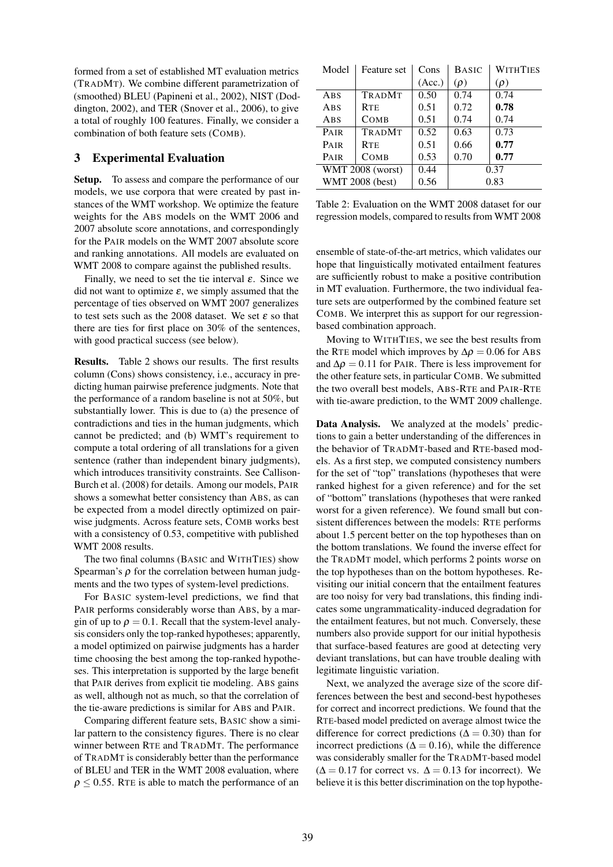formed from a set of established MT evaluation metrics (TRADMT). We combine different parametrization of (smoothed) BLEU (Papineni et al., 2002), NIST (Doddington, 2002), and TER (Snover et al., 2006), to give a total of roughly 100 features. Finally, we consider a combination of both feature sets (COMB).

### 3 Experimental Evaluation

Setup. To assess and compare the performance of our models, we use corpora that were created by past instances of the WMT workshop. We optimize the feature weights for the ABS models on the WMT 2006 and 2007 absolute score annotations, and correspondingly for the PAIR models on the WMT 2007 absolute score and ranking annotations. All models are evaluated on WMT 2008 to compare against the published results.

Finally, we need to set the tie interval  $\varepsilon$ . Since we did not want to optimize  $\varepsilon$ , we simply assumed that the percentage of ties observed on WMT 2007 generalizes to test sets such as the 2008 dataset. We set  $\varepsilon$  so that there are ties for first place on 30% of the sentences, with good practical success (see below).

Results. Table 2 shows our results. The first results column (Cons) shows consistency, i.e., accuracy in predicting human pairwise preference judgments. Note that the performance of a random baseline is not at 50%, but substantially lower. This is due to (a) the presence of contradictions and ties in the human judgments, which cannot be predicted; and (b) WMT's requirement to compute a total ordering of all translations for a given sentence (rather than independent binary judgments), which introduces transitivity constraints. See Callison-Burch et al. (2008) for details. Among our models, PAIR shows a somewhat better consistency than ABS, as can be expected from a model directly optimized on pairwise judgments. Across feature sets, COMB works best with a consistency of 0.53, competitive with published WMT 2008 results.

The two final columns (BASIC and WITHTIES) show Spearman's  $\rho$  for the correlation between human judgments and the two types of system-level predictions.

For BASIC system-level predictions, we find that PAIR performs considerably worse than ABS, by a margin of up to  $\rho = 0.1$ . Recall that the system-level analysis considers only the top-ranked hypotheses; apparently, a model optimized on pairwise judgments has a harder time choosing the best among the top-ranked hypotheses. This interpretation is supported by the large benefit that PAIR derives from explicit tie modeling. ABS gains as well, although not as much, so that the correlation of the tie-aware predictions is similar for ABS and PAIR.

Comparing different feature sets, BASIC show a similar pattern to the consistency figures. There is no clear winner between RTE and TRADMT. The performance of TRADMT is considerably better than the performance of BLEU and TER in the WMT 2008 evaluation, where  $\rho \leq 0.55$ . RTE is able to match the performance of an

| Model                   | Feature set   | Cons   | <b>WITHTIES</b><br><b>BASIC</b> |          |  |
|-------------------------|---------------|--------|---------------------------------|----------|--|
|                         |               | (Acc.) | $(\rho)$                        | $(\rho)$ |  |
| ABS                     | <b>TRADMT</b> | 0.50   | 0.74                            | 0.74     |  |
| ABS                     | <b>RTE</b>    | 0.51   | 0.72                            | 0.78     |  |
| ABS                     | <b>COMB</b>   | 0.51   | 0.74                            | 0.74     |  |
| PAIR                    | <b>TRADMT</b> | 0.52   | 0.63                            | 0.73     |  |
| <b>PAIR</b>             | <b>RTE</b>    | 0.51   | 0.66                            | 0.77     |  |
| PAIR                    | COMB          | 0.53   | 0.70                            | 0.77     |  |
| <b>WMT 2008 (worst)</b> |               | 0.44   | 0.37                            |          |  |
| <b>WMT 2008 (best)</b>  |               | 0.56   | 0.83                            |          |  |

Table 2: Evaluation on the WMT 2008 dataset for our regression models, compared to results from WMT 2008

ensemble of state-of-the-art metrics, which validates our hope that linguistically motivated entailment features are sufficiently robust to make a positive contribution in MT evaluation. Furthermore, the two individual feature sets are outperformed by the combined feature set COMB. We interpret this as support for our regressionbased combination approach.

Moving to WITHTIES, we see the best results from the RTE model which improves by  $\Delta \rho = 0.06$  for ABS and  $\Delta \rho = 0.11$  for PAIR. There is less improvement for the other feature sets, in particular COMB. We submitted the two overall best models, ABS-RTE and PAIR-RTE with tie-aware prediction, to the WMT 2009 challenge.

Data Analysis. We analyzed at the models' predictions to gain a better understanding of the differences in the behavior of TRADMT-based and RTE-based models. As a first step, we computed consistency numbers for the set of "top" translations (hypotheses that were ranked highest for a given reference) and for the set of "bottom" translations (hypotheses that were ranked worst for a given reference). We found small but consistent differences between the models: RTE performs about 1.5 percent better on the top hypotheses than on the bottom translations. We found the inverse effect for the TRADMT model, which performs 2 points worse on the top hypotheses than on the bottom hypotheses. Revisiting our initial concern that the entailment features are too noisy for very bad translations, this finding indicates some ungrammaticality-induced degradation for the entailment features, but not much. Conversely, these numbers also provide support for our initial hypothesis that surface-based features are good at detecting very deviant translations, but can have trouble dealing with legitimate linguistic variation.

Next, we analyzed the average size of the score differences between the best and second-best hypotheses for correct and incorrect predictions. We found that the RTE-based model predicted on average almost twice the difference for correct predictions ( $\Delta = 0.30$ ) than for incorrect predictions ( $\Delta = 0.16$ ), while the difference was considerably smaller for the TRADMT-based model  $(\Delta = 0.17$  for correct vs.  $\Delta = 0.13$  for incorrect). We believe it is this better discrimination on the top hypothe-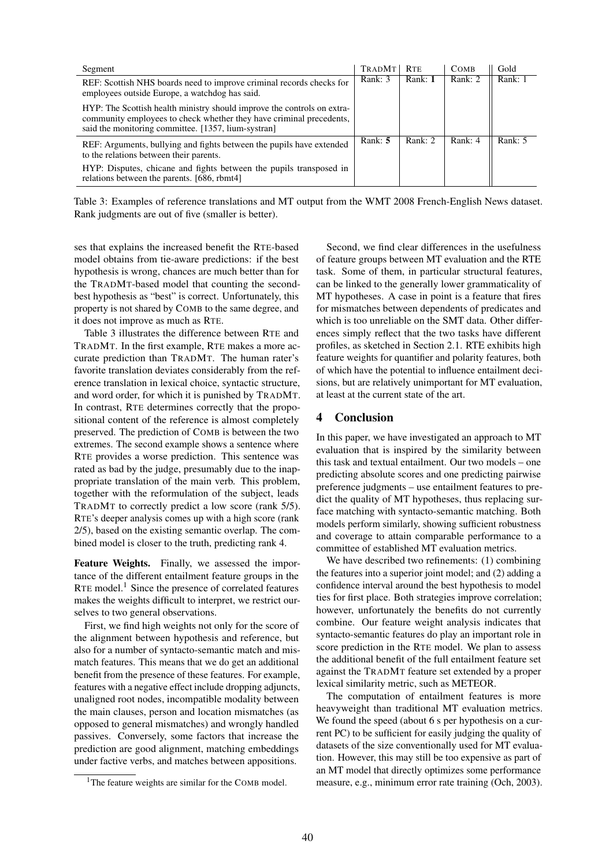| Segment                                                                                                                                                                                               | <b>TRADMT</b> | <b>RTE</b> | <b>COMB</b> | Gold      |
|-------------------------------------------------------------------------------------------------------------------------------------------------------------------------------------------------------|---------------|------------|-------------|-----------|
| REF: Scottish NHS boards need to improve criminal records checks for<br>employees outside Europe, a watchdog has said.                                                                                | Rank: 3       | Rank: 1    | Rank: 2     | Rank: 1   |
| HYP: The Scottish health ministry should improve the controls on extra-<br>community employees to check whether they have criminal precedents,<br>said the monitoring committee. [1357, lium-systran] |               |            |             |           |
| REF: Arguments, bullying and fights between the pupils have extended<br>to the relations between their parents.                                                                                       | Rank: $5$     | Rank: 2    | Rank: $4$   | Rank: $5$ |
| HYP: Disputes, chicane and fights between the pupils transposed in<br>relations between the parents. [686, rbmt4]                                                                                     |               |            |             |           |

Table 3: Examples of reference translations and MT output from the WMT 2008 French-English News dataset. Rank judgments are out of five (smaller is better).

ses that explains the increased benefit the RTE-based model obtains from tie-aware predictions: if the best hypothesis is wrong, chances are much better than for the TRADMT-based model that counting the secondbest hypothesis as "best" is correct. Unfortunately, this property is not shared by COMB to the same degree, and it does not improve as much as RTE.

Table 3 illustrates the difference between RTE and TRADMT. In the first example, RTE makes a more accurate prediction than TRADMT. The human rater's favorite translation deviates considerably from the reference translation in lexical choice, syntactic structure, and word order, for which it is punished by TRADMT. In contrast, RTE determines correctly that the propositional content of the reference is almost completely preserved. The prediction of COMB is between the two extremes. The second example shows a sentence where RTE provides a worse prediction. This sentence was rated as bad by the judge, presumably due to the inappropriate translation of the main verb. This problem, together with the reformulation of the subject, leads TRADMT to correctly predict a low score (rank 5/5). RTE's deeper analysis comes up with a high score (rank 2/5), based on the existing semantic overlap. The combined model is closer to the truth, predicting rank 4.

Feature Weights. Finally, we assessed the importance of the different entailment feature groups in the RTE model.<sup>1</sup> Since the presence of correlated features makes the weights difficult to interpret, we restrict ourselves to two general observations.

First, we find high weights not only for the score of the alignment between hypothesis and reference, but also for a number of syntacto-semantic match and mismatch features. This means that we do get an additional benefit from the presence of these features. For example, features with a negative effect include dropping adjuncts, unaligned root nodes, incompatible modality between the main clauses, person and location mismatches (as opposed to general mismatches) and wrongly handled passives. Conversely, some factors that increase the prediction are good alignment, matching embeddings under factive verbs, and matches between appositions.

Second, we find clear differences in the usefulness of feature groups between MT evaluation and the RTE task. Some of them, in particular structural features, can be linked to the generally lower grammaticality of MT hypotheses. A case in point is a feature that fires for mismatches between dependents of predicates and which is too unreliable on the SMT data. Other differences simply reflect that the two tasks have different profiles, as sketched in Section 2.1. RTE exhibits high feature weights for quantifier and polarity features, both of which have the potential to influence entailment decisions, but are relatively unimportant for MT evaluation, at least at the current state of the art.

### 4 Conclusion

In this paper, we have investigated an approach to MT evaluation that is inspired by the similarity between this task and textual entailment. Our two models – one predicting absolute scores and one predicting pairwise preference judgments – use entailment features to predict the quality of MT hypotheses, thus replacing surface matching with syntacto-semantic matching. Both models perform similarly, showing sufficient robustness and coverage to attain comparable performance to a committee of established MT evaluation metrics.

We have described two refinements: (1) combining the features into a superior joint model; and (2) adding a confidence interval around the best hypothesis to model ties for first place. Both strategies improve correlation; however, unfortunately the benefits do not currently combine. Our feature weight analysis indicates that syntacto-semantic features do play an important role in score prediction in the RTE model. We plan to assess the additional benefit of the full entailment feature set against the TRADMT feature set extended by a proper lexical similarity metric, such as METEOR.

The computation of entailment features is more heavyweight than traditional MT evaluation metrics. We found the speed (about 6 s per hypothesis on a current PC) to be sufficient for easily judging the quality of datasets of the size conventionally used for MT evaluation. However, this may still be too expensive as part of an MT model that directly optimizes some performance measure, e.g., minimum error rate training (Och, 2003).

<sup>&</sup>lt;sup>1</sup>The feature weights are similar for the COMB model.